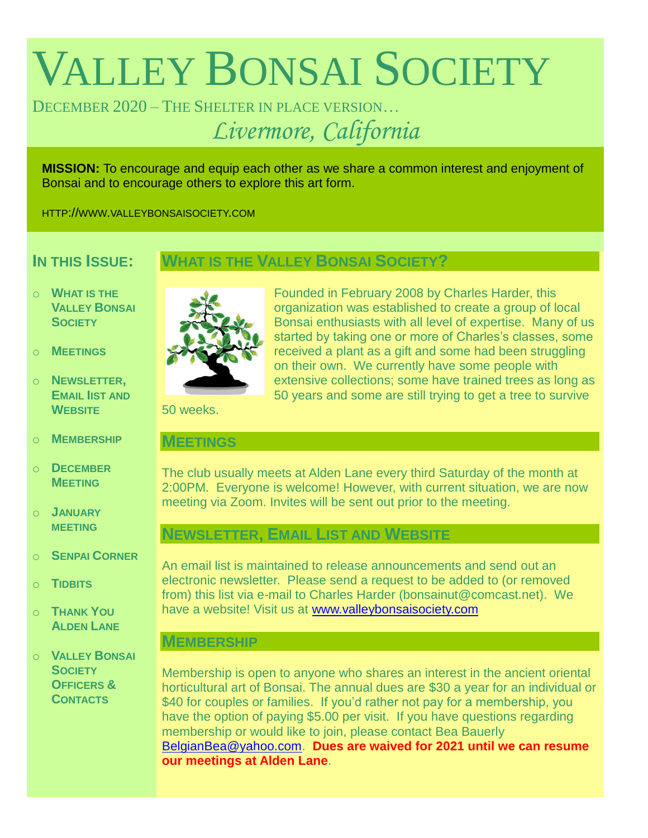# VALLEY BONSAI SOCIETY

DECEMBER 2020 – THE SHELTER IN PLACE VERSION… *Livermore, California*

**MISSION:** To encourage and equip each other as we share a common interest and enjoyment of Bonsai and to encourage others to explore this art form.

HTTP://WWW.VALLEYBONSAISOCIETY.COM

# **IN THIS ISSUE:**

## **WHAT IS THE VALLEY BONSAI SOCIETY?**

- o **WHAT IS THE VALLEY BONSAI SOCIETY**
- o **MEETINGS**
- o **NEWSLETTER, EMAIL IIST AND WEBSITE**
- o **MEMBERSHIP**
- o **DECEMBER MEETING**
- o **JANUARY MEETING**
- o **SENPAI CORNER**
- o **TIDBITS**
- o **THANK YOU ALDEN LANE**
- o **VALLEY BONSAI SOCIETY OFFICERS & CONTACTS**



Founded in February 2008 by Charles Harder, this organization was established to create a group of local Bonsai enthusiasts with all level of expertise. Many of us started by taking one or more of Charles's classes, some received a plant as a gift and some had been struggling on their own. We currently have some people with extensive collections; some have trained trees as long as 50 years and some are still trying to get a tree to survive

50 weeks.

#### **MEETINGS**

The club usually meets at Alden Lane every third Saturday of the month at 2:00PM. Everyone is welcome! However, with current situation, we are now meeting via Zoom. Invites will be sent out prior to the meeting.

# **NEWSLETTER, EMAIL LIST AND WEBSITE**

An email list is maintained to release announcements and send out an electronic newsletter. Please send a request to be added to (or removed from) this list via e-mail to Charles Harder (bonsainut@comcast.net). We have a website! Visit us at [www.valleybonsaisociety.com](http://www.valleybonsaisociety.com/)

### **MEMBERSHIP**

Membership is open to anyone who shares an interest in the ancient oriental horticultural art of Bonsai. The annual dues are \$30 a year for an individual or \$40 for couples or families. If you'd rather not pay for a membership, you have the option of paying \$5.00 per visit. If you have questions regarding membership or would like to join, please contact Bea Bauerly [BelgianBea@yahoo.com.](mailto:BelgianBea@yahoo.com) **Dues are waived for 2021 until we can resume our meetings at Alden Lane**.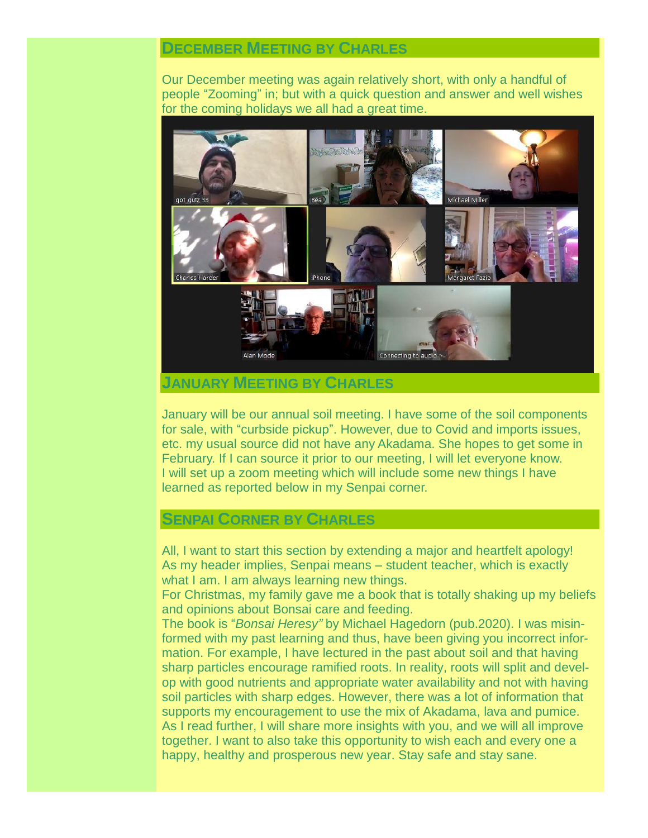### **DECEMBER MEETING BY CHARLES**

Our December meeting was again relatively short, with only a handful of people "Zooming" in; but with a quick question and answer and well wishes for the coming holidays we all had a great time.



#### **JANUARY MEETING BY CHARLES**

January will be our annual soil meeting. I have some of the soil components for sale, with "curbside pickup". However, due to Covid and imports issues, etc. my usual source did not have any Akadama. She hopes to get some in February. If I can source it prior to our meeting, I will let everyone know. I will set up a zoom meeting which will include some new things I have learned as reported below in my Senpai corner.

### **SENPAI CORNER BY CHARLES**

All, I want to start this section by extending a major and heartfelt apology! As my header implies, Senpai means – student teacher, which is exactly what I am. I am always learning new things.

For Christmas, my family gave me a book that is totally shaking up my beliefs and opinions about Bonsai care and feeding.

The book is "*Bonsai Heresy"* by Michael Hagedorn (pub.2020). I was misinformed with my past learning and thus, have been giving you incorrect information. For example, I have lectured in the past about soil and that having sharp particles encourage ramified roots. In reality, roots will split and develop with good nutrients and appropriate water availability and not with having soil particles with sharp edges. However, there was a lot of information that supports my encouragement to use the mix of Akadama, lava and pumice. As I read further, I will share more insights with you, and we will all improve together. I want to also take this opportunity to wish each and every one a happy, healthy and prosperous new year. Stay safe and stay sane.